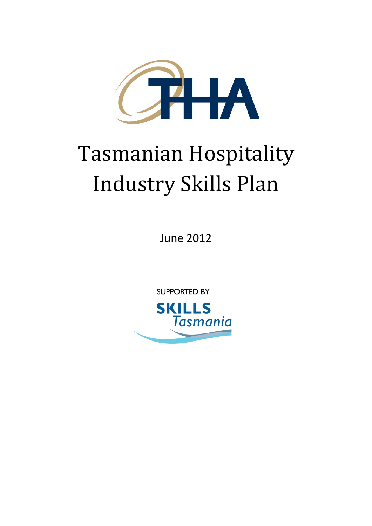

# Tasmanian Hospitality Industry Skills Plan

June 2012

**SUPPORTED BY** 

<span id="page-0-0"></span>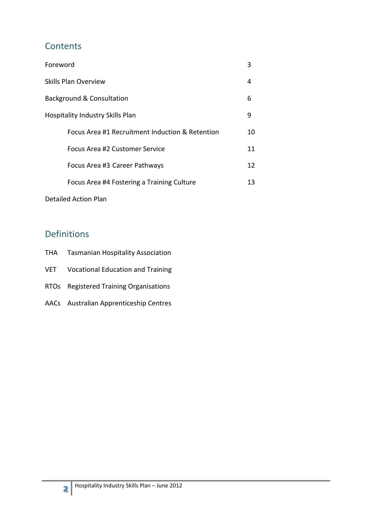## **Contents**

| Foreword                                        | 3  |
|-------------------------------------------------|----|
| <b>Skills Plan Overview</b>                     | 4  |
| Background & Consultation                       | 6  |
| <b>Hospitality Industry Skills Plan</b>         | 9  |
| Focus Area #1 Recruitment Induction & Retention | 10 |
| Focus Area #2 Customer Service                  | 11 |
| Focus Area #3 Career Pathways                   | 12 |
| Focus Area #4 Fostering a Training Culture      | 13 |

Detailed Action Plan

## Definitions

- THA Tasmanian Hospitality Association
- VET Vocational Education and Training
- RTOs Registered Training Organisations
- AACs Australian Apprenticeship Centres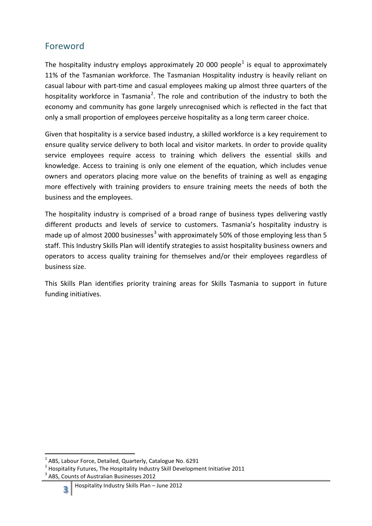## Foreword

The hospitality industry employs approximately 20 000 people<sup>[1](#page-0-0)</sup> is equal to approximately 11% of the Tasmanian workforce. The Tasmanian Hospitality industry is heavily reliant on casual labour with part-time and casual employees making up almost three quarters of the hospitality workforce in Tasmania<sup>[2](#page-2-0)</sup>. The role and contribution of the industry to both the economy and community has gone largely unrecognised which is reflected in the fact that only a small proportion of employees perceive hospitality as a long term career choice.

Given that hospitality is a service based industry, a skilled workforce is a key requirement to ensure quality service delivery to both local and visitor markets. In order to provide quality service employees require access to training which delivers the essential skills and knowledge. Access to training is only one element of the equation, which includes venue owners and operators placing more value on the benefits of training as well as engaging more effectively with training providers to ensure training meets the needs of both the business and the employees.

The hospitality industry is comprised of a broad range of business types delivering vastly different products and levels of service to customers. Tasmania's hospitality industry is made up of almost 2000 businesses<sup>[3](#page-2-1)</sup> with approximately 50% of those employing less than 5 staff. This Industry Skills Plan will identify strategies to assist hospitality business owners and operators to access quality training for themselves and/or their employees regardless of business size.

This Skills Plan identifies priority training areas for Skills Tasmania to support in future funding initiatives.

 <sup>1</sup> ABS, Labour Force, Detailed, Quarterly, Catalogue No. 6291

<span id="page-2-1"></span><span id="page-2-0"></span> $2$  Hospitality Futures, The Hospitality Industry Skill Development Initiative 2011 <sup>3</sup> ABS, Counts of Australian Businesses 2012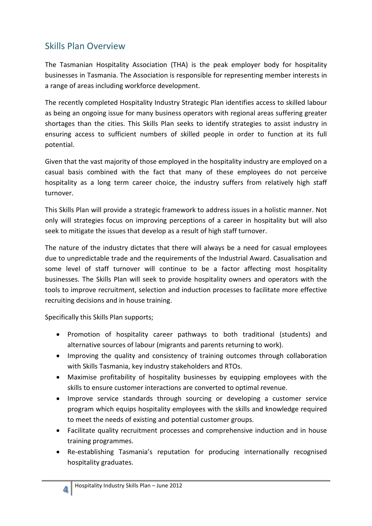## Skills Plan Overview

The Tasmanian Hospitality Association (THA) is the peak employer body for hospitality businesses in Tasmania. The Association is responsible for representing member interests in a range of areas including workforce development.

The recently completed Hospitality Industry Strategic Plan identifies access to skilled labour as being an ongoing issue for many business operators with regional areas suffering greater shortages than the cities. This Skills Plan seeks to identify strategies to assist industry in ensuring access to sufficient numbers of skilled people in order to function at its full potential.

Given that the vast majority of those employed in the hospitality industry are employed on a casual basis combined with the fact that many of these employees do not perceive hospitality as a long term career choice, the industry suffers from relatively high staff turnover.

This Skills Plan will provide a strategic framework to address issues in a holistic manner. Not only will strategies focus on improving perceptions of a career in hospitality but will also seek to mitigate the issues that develop as a result of high staff turnover.

The nature of the industry dictates that there will always be a need for casual employees due to unpredictable trade and the requirements of the Industrial Award. Casualisation and some level of staff turnover will continue to be a factor affecting most hospitality businesses. The Skills Plan will seek to provide hospitality owners and operators with the tools to improve recruitment, selection and induction processes to facilitate more effective recruiting decisions and in house training.

Specifically this Skills Plan supports;

- Promotion of hospitality career pathways to both traditional (students) and alternative sources of labour (migrants and parents returning to work).
- Improving the quality and consistency of training outcomes through collaboration with Skills Tasmania, key industry stakeholders and RTOs.
- Maximise profitability of hospitality businesses by equipping employees with the skills to ensure customer interactions are converted to optimal revenue.
- Improve service standards through sourcing or developing a customer service program which equips hospitality employees with the skills and knowledge required to meet the needs of existing and potential customer groups.
- Facilitate quality recruitment processes and comprehensive induction and in house training programmes.
- Re-establishing Tasmania's reputation for producing internationally recognised hospitality graduates.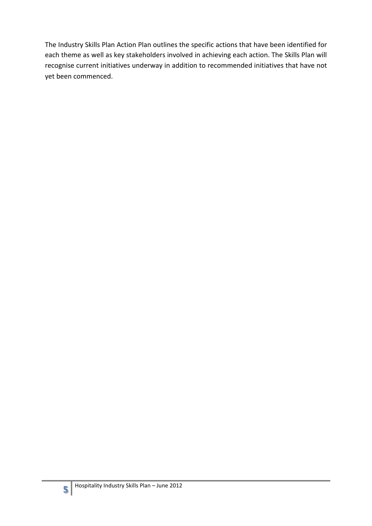The Industry Skills Plan Action Plan outlines the specific actions that have been identified for each theme as well as key stakeholders involved in achieving each action. The Skills Plan will recognise current initiatives underway in addition to recommended initiatives that have not yet been commenced.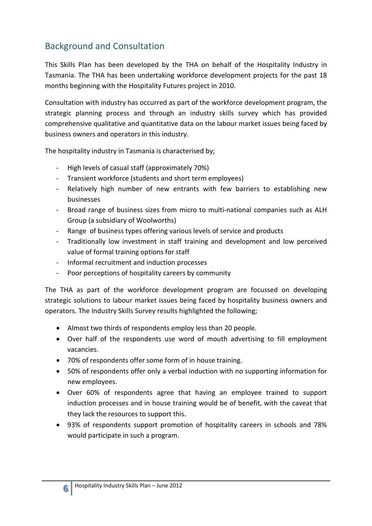## Background and Consultation

This Skills Plan has been developed by the THA on behalf of the Hospitality Industry in Tasmania. The THA has been undertaking workforce development projects for the past 18 months beginning with the Hospitality Futures project in 2010.

Consultation with industry has occurred as part of the workforce development program, the strategic planning process and through an industry skills survey which has provided comprehensive qualitative and quantitative data on the labour market issues being faced by business owners and operators in this industry.

The hospitality industry in Tasmania is characterised by;

- High levels of casual staff (approximately 70%)
- Transient workforce (students and short term employees)
- Relatively high number of new entrants with few barriers to establishing new businesses
- Broad range of business sizes from micro to multi-national companies such as ALH Group (a subsidiary of Woolworths)
- Range of business types offering various levels of service and products
- Traditionally low investment in staff training and development and low perceived value of formal training options for staff
- Informal recruitment and induction processes
- Poor perceptions of hospitality careers by community

The THA as part of the workforce development program are focussed on developing strategic solutions to labour market issues being faced by hospitality business owners and operators. The Industry Skills Survey results highlighted the following;

- Almost two thirds of respondents employ less than 20 people.
- Over half of the respondents use word of mouth advertising to fill employment vacancies.
- 70% of respondents offer some form of in house training.
- 50% of respondents offer only a verbal induction with no supporting information for new employees.
- Over 60% of respondents agree that having an employee trained to support induction processes and in house training would be of benefit, with the caveat that they lack the resources to support this.
- 93% of respondents support promotion of hospitality careers in schools and 78% would participate in such a program.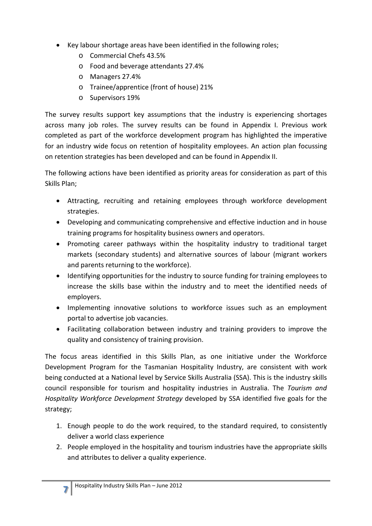- Key labour shortage areas have been identified in the following roles;
	- o Commercial Chefs 43.5%
	- o Food and beverage attendants 27.4%
	- o Managers 27.4%
	- o Trainee/apprentice (front of house) 21%
	- o Supervisors 19%

The survey results support key assumptions that the industry is experiencing shortages across many job roles. The survey results can be found in Appendix I. Previous work completed as part of the workforce development program has highlighted the imperative for an industry wide focus on retention of hospitality employees. An action plan focussing on retention strategies has been developed and can be found in Appendix II.

The following actions have been identified as priority areas for consideration as part of this Skills Plan;

- Attracting, recruiting and retaining employees through workforce development strategies.
- Developing and communicating comprehensive and effective induction and in house training programs for hospitality business owners and operators.
- Promoting career pathways within the hospitality industry to traditional target markets (secondary students) and alternative sources of labour (migrant workers and parents returning to the workforce).
- Identifying opportunities for the industry to source funding for training employees to increase the skills base within the industry and to meet the identified needs of employers.
- Implementing innovative solutions to workforce issues such as an employment portal to advertise job vacancies.
- Facilitating collaboration between industry and training providers to improve the quality and consistency of training provision.

The focus areas identified in this Skills Plan, as one initiative under the Workforce Development Program for the Tasmanian Hospitality Industry, are consistent with work being conducted at a National level by Service Skills Australia (SSA). This is the industry skills council responsible for tourism and hospitality industries in Australia. The *Tourism and Hospitality Workforce Development Strategy* developed by SSA identified five goals for the strategy;

- 1. Enough people to do the work required, to the standard required, to consistently deliver a world class experience
- 2. People employed in the hospitality and tourism industries have the appropriate skills and attributes to deliver a quality experience.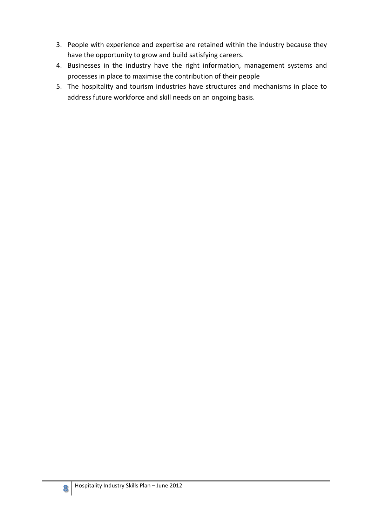- 3. People with experience and expertise are retained within the industry because they have the opportunity to grow and build satisfying careers.
- 4. Businesses in the industry have the right information, management systems and processes in place to maximise the contribution of their people
- 5. The hospitality and tourism industries have structures and mechanisms in place to address future workforce and skill needs on an ongoing basis.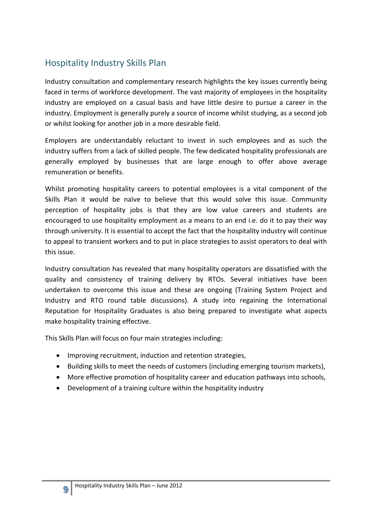## Hospitality Industry Skills Plan

Industry consultation and complementary research highlights the key issues currently being faced in terms of workforce development. The vast majority of employees in the hospitality industry are employed on a casual basis and have little desire to pursue a career in the industry. Employment is generally purely a source of income whilst studying, as a second job or whilst looking for another job in a more desirable field.

Employers are understandably reluctant to invest in such employees and as such the industry suffers from a lack of skilled people. The few dedicated hospitality professionals are generally employed by businesses that are large enough to offer above average remuneration or benefits.

Whilst promoting hospitality careers to potential employees is a vital component of the Skills Plan it would be naïve to believe that this would solve this issue. Community perception of hospitality jobs is that they are low value careers and students are encouraged to use hospitality employment as a means to an end i.e. do it to pay their way through university. It is essential to accept the fact that the hospitality industry will continue to appeal to transient workers and to put in place strategies to assist operators to deal with this issue.

Industry consultation has revealed that many hospitality operators are dissatisfied with the quality and consistency of training delivery by RTOs. Several initiatives have been undertaken to overcome this issue and these are ongoing (Training System Project and Industry and RTO round table discussions). A study into regaining the International Reputation for Hospitality Graduates is also being prepared to investigate what aspects make hospitality training effective.

This Skills Plan will focus on four main strategies including:

- Improving recruitment, induction and retention strategies,
- Building skills to meet the needs of customers (including emerging tourism markets),
- More effective promotion of hospitality career and education pathways into schools,
- Development of a training culture within the hospitality industry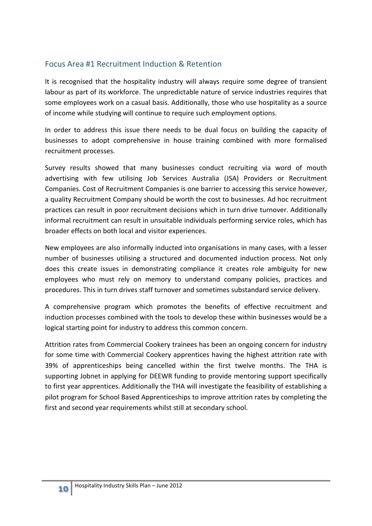#### Focus Area #1 Recruitment Induction & Retention

It is recognised that the hospitality industry will always require some degree of transient labour as part of its workforce. The unpredictable nature of service industries requires that some employees work on a casual basis. Additionally, those who use hospitality as a source of income while studying will continue to require such employment options.

In order to address this issue there needs to be dual focus on building the capacity of businesses to adopt comprehensive in house training combined with more formalised recruitment processes.

Survey results showed that many businesses conduct recruiting via word of mouth advertising with few utilising Job Services Australia (JSA) Providers or Recruitment Companies. Cost of Recruitment Companies is one barrier to accessing this service however, a quality Recruitment Company should be worth the cost to businesses. Ad hoc recruitment practices can result in poor recruitment decisions which in turn drive turnover. Additionally informal recruitment can result in unsuitable individuals performing service roles, which has broader effects on both local and visitor experiences.

New employees are also informally inducted into organisations in many cases, with a lesser number of businesses utilising a structured and documented induction process. Not only does this create issues in demonstrating compliance it creates role ambiguity for new employees who must rely on memory to understand company policies, practices and procedures. This in turn drives staff turnover and sometimes substandard service delivery.

A comprehensive program which promotes the benefits of effective recruitment and induction processes combined with the tools to develop these within businesses would be a logical starting point for industry to address this common concern.

Attrition rates from Commercial Cookery trainees has been an ongoing concern for industry for some time with Commercial Cookery apprentices having the highest attrition rate with 39% of apprenticeships being cancelled within the first twelve months. The THA is supporting Jobnet in applying for DEEWR funding to provide mentoring support specifically to first year apprentices. Additionally the THA will investigate the feasibility of establishing a pilot program for School Based Apprenticeships to improve attrition rates by completing the first and second year requirements whilst still at secondary school.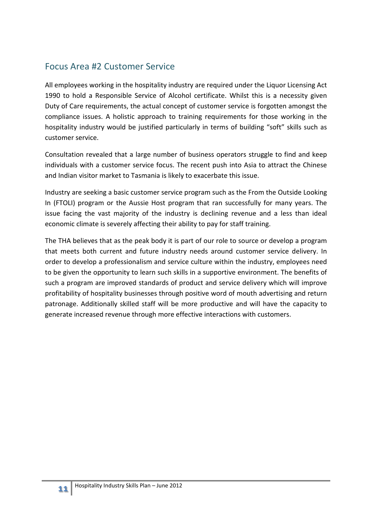## Focus Area #2 Customer Service

All employees working in the hospitality industry are required under the Liquor Licensing Act 1990 to hold a Responsible Service of Alcohol certificate. Whilst this is a necessity given Duty of Care requirements, the actual concept of customer service is forgotten amongst the compliance issues. A holistic approach to training requirements for those working in the hospitality industry would be justified particularly in terms of building "soft" skills such as customer service.

Consultation revealed that a large number of business operators struggle to find and keep individuals with a customer service focus. The recent push into Asia to attract the Chinese and Indian visitor market to Tasmania is likely to exacerbate this issue.

Industry are seeking a basic customer service program such as the From the Outside Looking In (FTOLI) program or the Aussie Host program that ran successfully for many years. The issue facing the vast majority of the industry is declining revenue and a less than ideal economic climate is severely affecting their ability to pay for staff training.

The THA believes that as the peak body it is part of our role to source or develop a program that meets both current and future industry needs around customer service delivery. In order to develop a professionalism and service culture within the industry, employees need to be given the opportunity to learn such skills in a supportive environment. The benefits of such a program are improved standards of product and service delivery which will improve profitability of hospitality businesses through positive word of mouth advertising and return patronage. Additionally skilled staff will be more productive and will have the capacity to generate increased revenue through more effective interactions with customers.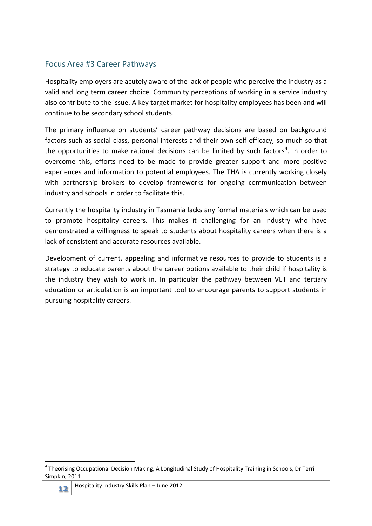#### Focus Area #3 Career Pathways

Hospitality employers are acutely aware of the lack of people who perceive the industry as a valid and long term career choice. Community perceptions of working in a service industry also contribute to the issue. A key target market for hospitality employees has been and will continue to be secondary school students.

The primary influence on students' career pathway decisions are based on background factors such as social class, personal interests and their own self efficacy, so much so that the opportunities to make rational decisions can be limited by such factors<sup>[4](#page-2-0)</sup>. In order to overcome this, efforts need to be made to provide greater support and more positive experiences and information to potential employees. The THA is currently working closely with partnership brokers to develop frameworks for ongoing communication between industry and schools in order to facilitate this.

Currently the hospitality industry in Tasmania lacks any formal materials which can be used to promote hospitality careers. This makes it challenging for an industry who have demonstrated a willingness to speak to students about hospitality careers when there is a lack of consistent and accurate resources available.

Development of current, appealing and informative resources to provide to students is a strategy to educate parents about the career options available to their child if hospitality is the industry they wish to work in. In particular the pathway between VET and tertiary education or articulation is an important tool to encourage parents to support students in pursuing hospitality careers.

 <sup>4</sup> Theorising Occupational Decision Making, A Longitudinal Study of Hospitality Training in Schools, Dr Terri Simpkin, 2011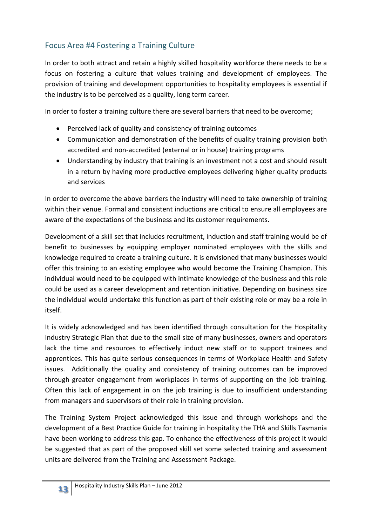## Focus Area #4 Fostering a Training Culture

In order to both attract and retain a highly skilled hospitality workforce there needs to be a focus on fostering a culture that values training and development of employees. The provision of training and development opportunities to hospitality employees is essential if the industry is to be perceived as a quality, long term career.

In order to foster a training culture there are several barriers that need to be overcome;

- Perceived lack of quality and consistency of training outcomes
- Communication and demonstration of the benefits of quality training provision both accredited and non-accredited (external or in house) training programs
- Understanding by industry that training is an investment not a cost and should result in a return by having more productive employees delivering higher quality products and services

In order to overcome the above barriers the industry will need to take ownership of training within their venue. Formal and consistent inductions are critical to ensure all employees are aware of the expectations of the business and its customer requirements.

Development of a skill set that includes recruitment, induction and staff training would be of benefit to businesses by equipping employer nominated employees with the skills and knowledge required to create a training culture. It is envisioned that many businesses would offer this training to an existing employee who would become the Training Champion. This individual would need to be equipped with intimate knowledge of the business and this role could be used as a career development and retention initiative. Depending on business size the individual would undertake this function as part of their existing role or may be a role in itself.

It is widely acknowledged and has been identified through consultation for the Hospitality Industry Strategic Plan that due to the small size of many businesses, owners and operators lack the time and resources to effectively induct new staff or to support trainees and apprentices. This has quite serious consequences in terms of Workplace Health and Safety issues. Additionally the quality and consistency of training outcomes can be improved through greater engagement from workplaces in terms of supporting on the job training. Often this lack of engagement in on the job training is due to insufficient understanding from managers and supervisors of their role in training provision.

The Training System Project acknowledged this issue and through workshops and the development of a Best Practice Guide for training in hospitality the THA and Skills Tasmania have been working to address this gap. To enhance the effectiveness of this project it would be suggested that as part of the proposed skill set some selected training and assessment units are delivered from the Training and Assessment Package.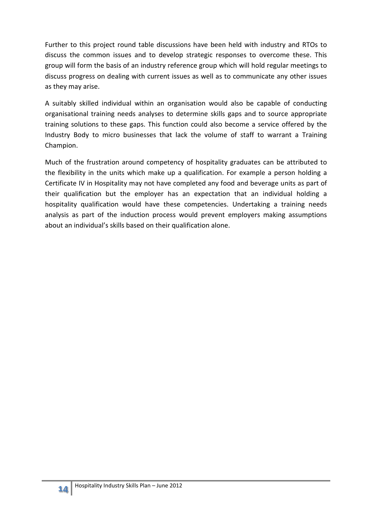Further to this project round table discussions have been held with industry and RTOs to discuss the common issues and to develop strategic responses to overcome these. This group will form the basis of an industry reference group which will hold regular meetings to discuss progress on dealing with current issues as well as to communicate any other issues as they may arise.

A suitably skilled individual within an organisation would also be capable of conducting organisational training needs analyses to determine skills gaps and to source appropriate training solutions to these gaps. This function could also become a service offered by the Industry Body to micro businesses that lack the volume of staff to warrant a Training Champion.

Much of the frustration around competency of hospitality graduates can be attributed to the flexibility in the units which make up a qualification. For example a person holding a Certificate IV in Hospitality may not have completed any food and beverage units as part of their qualification but the employer has an expectation that an individual holding a hospitality qualification would have these competencies. Undertaking a training needs analysis as part of the induction process would prevent employers making assumptions about an individual's skills based on their qualification alone.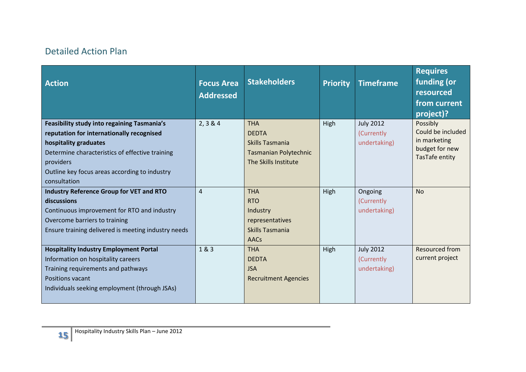# Detailed Action Plan

| <b>Action</b>                                                      | <b>Focus Area</b><br><b>Addressed</b> | <b>Stakeholders</b>             | <b>Priority</b> | <b>Timeframe</b>           | <b>Requires</b><br>funding (or<br>resourced<br>from current<br>project)? |
|--------------------------------------------------------------------|---------------------------------------|---------------------------------|-----------------|----------------------------|--------------------------------------------------------------------------|
| <b>Feasibility study into regaining Tasmania's</b>                 | 2, 3 & 4                              | <b>THA</b>                      | High            | <b>July 2012</b>           | Possibly<br>Could be included                                            |
| reputation for internationally recognised<br>hospitality graduates |                                       | <b>DEDTA</b><br>Skills Tasmania |                 | (Currently<br>undertaking) | in marketing                                                             |
| Determine characteristics of effective training                    |                                       | <b>Tasmanian Polytechnic</b>    |                 |                            | budget for new                                                           |
| providers                                                          |                                       | The Skills Institute            |                 |                            | TasTafe entity                                                           |
| Outline key focus areas according to industry                      |                                       |                                 |                 |                            |                                                                          |
| consultation                                                       |                                       |                                 |                 |                            |                                                                          |
| <b>Industry Reference Group for VET and RTO</b>                    | $\overline{4}$                        | <b>THA</b>                      | High            | Ongoing                    | <b>No</b>                                                                |
| discussions                                                        |                                       | <b>RTO</b>                      |                 | (Currently                 |                                                                          |
| Continuous improvement for RTO and industry                        |                                       | Industry                        |                 | undertaking)               |                                                                          |
| Overcome barriers to training                                      |                                       | representatives                 |                 |                            |                                                                          |
| Ensure training delivered is meeting industry needs                |                                       | Skills Tasmania                 |                 |                            |                                                                          |
|                                                                    |                                       | <b>AACs</b>                     |                 |                            |                                                                          |
| <b>Hospitality Industry Employment Portal</b>                      | 1&3                                   | <b>THA</b>                      | High            | <b>July 2012</b>           | <b>Resourced from</b>                                                    |
| Information on hospitality careers                                 |                                       | <b>DEDTA</b>                    |                 | (Currently                 | current project                                                          |
| Training requirements and pathways                                 |                                       | <b>JSA</b>                      |                 | undertaking)               |                                                                          |
| Positions vacant                                                   |                                       | <b>Recruitment Agencies</b>     |                 |                            |                                                                          |
| Individuals seeking employment (through JSAs)                      |                                       |                                 |                 |                            |                                                                          |
|                                                                    |                                       |                                 |                 |                            |                                                                          |